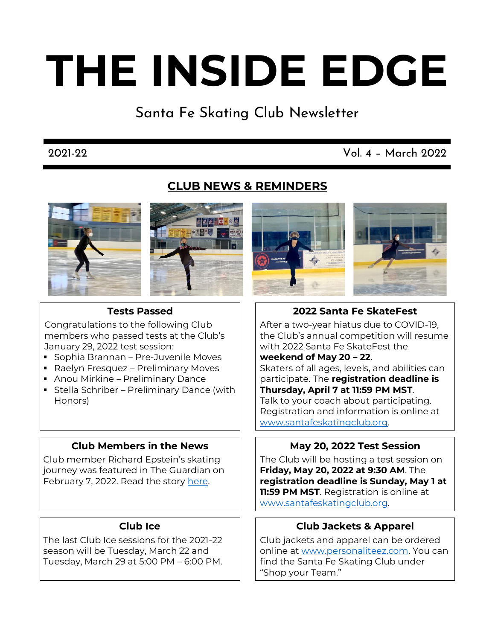# **THE INSIDE EDGE**

Santa Fe Skating Club Newsletter

# 2021-22 Vol. 4 – March 2022

# **CLUB NEWS & REMINDERS**









# **Tests Passed**

Congratulations to the following Club members who passed tests at the Club's January 29, 2022 test session:

- Sophia Brannan Pre-Juvenile Moves
- Raelyn Fresquez Preliminary Moves
- **Anou Mirkine Preliminary Dance**
- **EXECTE:** Stella Schriber Preliminary Dance (with Honors)

# **Club Members in the News**

Club member Richard Epstein's skating journey was featured in The Guardian on February 7, 2022. Read the story [here.](https://www.theguardian.com/lifeandstyle/2022/feb/07/ice-skating-a-new-start-after-60?fbclid=IwAR0263R0vtqFY8MVkzF2fy6qll1KVH2znf7y_DyGIxFZ_TsOYGiJFHZ1u2o)

# **Club Ice**

The last Club Ice sessions for the 2021-22 season will be Tuesday, March 22 and Tuesday, March 29 at 5:00 PM – 6:00 PM.

# **2022 Santa Fe SkateFest**

After a two-year hiatus due to COVID-19, the Club's annual competition will resume with 2022 Santa Fe SkateFest the

### **weekend of May 20 – 22**.

Skaters of all ages, levels, and abilities can participate. The **registration deadline is Thursday, April 7 at 11:59 PM MST**. Talk to your coach about participating. Registration and information is online at [www.santafeskatingclub.org.](https://www.santafeskatingclub.org/santa-fe-skatefest-1)

# **May 20, 2022 Test Session**

The Club will be hosting a test session on **Friday, May 20, 2022 at 9:30 AM**. The **registration deadline is Sunday, May 1 at 11:59 PM MST**. Registration is online at [www.santafeskatingclub.org.](https://www.santafeskatingclub.org/test-sessions-1)

# **Club Jackets & Apparel**

Club jackets and apparel can be ordered online a[t www.personaliteez.com.](https://www.personaliteez.com/Santa-Fe-Skating-Club-s/2264.htm) You can find the Santa Fe Skating Club under "Shop your Team."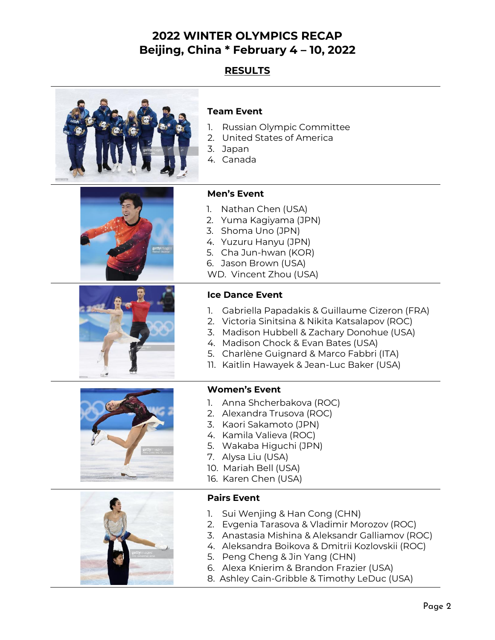# **2022 WINTER OLYMPICS RECAP Beijing, China \* February 4 – 10, 2022**

# **RESULTS**



### **Team Event**

- 1. Russian Olympic Committee
- 2. United States of America
- 3. Japan
- 4. Canada

**Men's Event**





#### 5. Cha Jun-hwan (KOR) 6. Jason Brown (USA) WD. Vincent Zhou (USA)

1. Nathan Chen (USA) 2. Yuma Kagiyama (JPN) 3. Shoma Uno (JPN) 4. Yuzuru Hanyu (JPN)

# **Ice Dance Event**

- 1. Gabriella Papadakis & Guillaume Cizeron (FRA)
- 2. Victoria Sinitsina & Nikita Katsalapov (ROC)
- 3. Madison Hubbell & Zachary Donohue (USA)
- 4. Madison Chock & Evan Bates (USA)
- 5. Charlène Guignard & Marco Fabbri (ITA)
- 11. Kaitlin Hawayek & Jean-Luc Baker (USA)





#### **Women's Event**

- 1. Anna Shcherbakova (ROC)
- 2. Alexandra Trusova (ROC)
- 3. Kaori Sakamoto (JPN)
- 4. Kamila Valieva (ROC)
- 5. Wakaba Higuchi (JPN)
- 7. Alysa Liu (USA)
- 10. Mariah Bell (USA)
- 16. Karen Chen (USA)

#### **Pairs Event**

- 1. Sui Wenjing & Han Cong (CHN)
- 2. Evgenia Tarasova & Vladimir Morozov (ROC)
- 3. Anastasia Mishina & Aleksandr Galliamov (ROC)
- 4. Aleksandra Boikova & Dmitrii Kozlovskii (ROC)
- 5. Peng Cheng & Jin Yang (CHN)
- 6. Alexa Knierim & Brandon Frazier (USA)
- 8. Ashley Cain-Gribble & Timothy LeDuc (USA)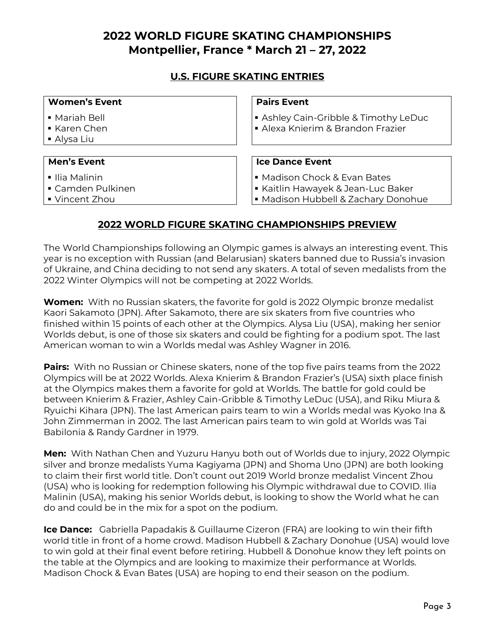# **2022 WORLD FIGURE SKATING CHAMPIONSHIPS Montpellier, France \* March 21 – 27, 2022**

# **U.S. FIGURE SKATING ENTRIES**

| <b>Pairs Event</b><br><b>Women's Event</b>            |                                                                                                         |  |
|-------------------------------------------------------|---------------------------------------------------------------------------------------------------------|--|
| • Mariah Bell<br>Karen Chen<br>■ Alysa Liu            | Ashley Cain-Gribble & Timothy LeDuc<br>• Alexa Knierim & Brandon Frazier                                |  |
| <b>Men's Event</b>                                    | <b>Ice Dance Event</b>                                                                                  |  |
| ■ Ilia Malinin<br>• Camden Pulkinen<br>■ Vincent Zhou | • Madison Chock & Evan Bates<br>Kaitlin Hawayek & Jean-Luc Baker<br>· Madison Hubbell & Zachary Donohue |  |

# **2022 WORLD FIGURE SKATING CHAMPIONSHIPS PREVIEW**

The World Championships following an Olympic games is always an interesting event. This year is no exception with Russian (and Belarusian) skaters banned due to Russia's invasion of Ukraine, and China deciding to not send any skaters. A total of seven medalists from the 2022 Winter Olympics will not be competing at 2022 Worlds.

**Women:** With no Russian skaters, the favorite for gold is 2022 Olympic bronze medalist Kaori Sakamoto (JPN). After Sakamoto, there are six skaters from five countries who finished within 15 points of each other at the Olympics. Alysa Liu (USA), making her senior Worlds debut, is one of those six skaters and could be fighting for a podium spot. The last American woman to win a Worlds medal was Ashley Wagner in 2016.

**Pairs:** With no Russian or Chinese skaters, none of the top five pairs teams from the 2022 Olympics will be at 2022 Worlds. Alexa Knierim & Brandon Frazier's (USA) sixth place finish at the Olympics makes them a favorite for gold at Worlds. The battle for gold could be between Knierim & Frazier, Ashley Cain-Gribble & Timothy LeDuc (USA), and Riku Miura & Ryuichi Kihara (JPN). The last American pairs team to win a Worlds medal was Kyoko Ina & John Zimmerman in 2002. The last American pairs team to win gold at Worlds was Tai Babilonia & Randy Gardner in 1979.

**Men:** With Nathan Chen and Yuzuru Hanyu both out of Worlds due to injury, 2022 Olympic silver and bronze medalists Yuma Kagiyama (JPN) and Shoma Uno (JPN) are both looking to claim their first world title. Don't count out 2019 World bronze medalist Vincent Zhou (USA) who is looking for redemption following his Olympic withdrawal due to COVID. Ilia Malinin (USA), making his senior Worlds debut, is looking to show the World what he can do and could be in the mix for a spot on the podium.

**Ice Dance:** Gabriella Papadakis & Guillaume Cizeron (FRA) are looking to win their fifth world title in front of a home crowd. Madison Hubbell & Zachary Donohue (USA) would love to win gold at their final event before retiring. Hubbell & Donohue know they left points on the table at the Olympics and are looking to maximize their performance at Worlds. Madison Chock & Evan Bates (USA) are hoping to end their season on the podium.